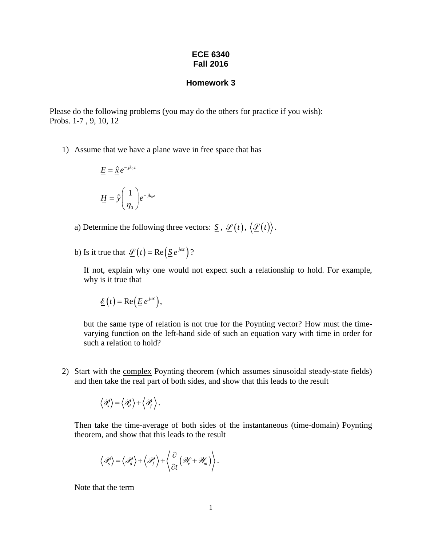## **ECE 6340 Fall 2016**

## **Homework 3**

Please do the following problems (you may do the others for practice if you wish): Probs. 1-7 , 9, 10, 12

1) Assume that we have a plane wave in free space that has

$$
\underline{E} = \hat{\underline{x}} e^{-jk_0 z}
$$

$$
\underline{H} = \hat{\underline{y}} \left( \frac{1}{\eta_0} \right) e^{-jk_0 z}
$$

- a) Determine the following three vectors:  $\underline{S}$ ,  $\underline{\mathscr{L}}(t)$ ,  $\langle \underline{\mathscr{L}}(t) \rangle$ .
- b) Is it true that  $\mathscr{L}(t) = \text{Re}(\underline{S}e^{j\omega t})$ ?

If not, explain why one would not expect such a relationship to hold. For example, why is it true that

$$
\underline{\mathcal{E}}(t) = \text{Re}\left(\underline{E} e^{j\omega t}\right),
$$

but the same type of relation is not true for the Poynting vector? How must the timevarying function on the left-hand side of such an equation vary with time in order for such a relation to hold?

2) Start with the complex Poynting theorem (which assumes sinusoidal steady-state fields) and then take the real part of both sides, and show that this leads to the result

$$
\left\langle \mathscr{P}_s \right\rangle \!=\! \left\langle \mathscr{P}_d \right\rangle \!+\! \left\langle \mathscr{P}_f \right\rangle.
$$

Then take the time-average of both sides of the instantaneous (time-domain) Poynting theorem, and show that this leads to the result

$$
\langle \mathscr{P}_{s} \rangle = \langle \mathscr{P}_{d} \rangle + \langle \mathscr{P}_{f} \rangle + \left\langle \frac{\partial}{\partial t} (\mathscr{W}_{e} + \mathscr{W}_{m}) \right\rangle.
$$

Note that the term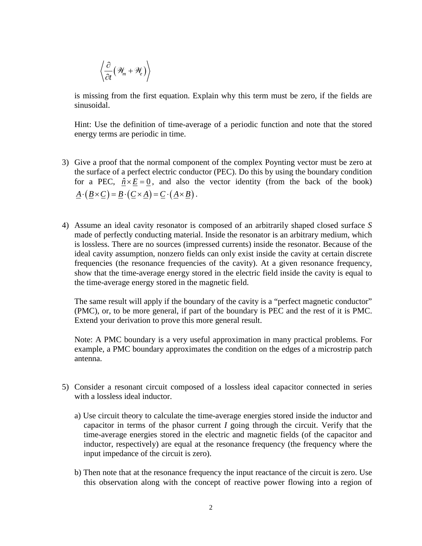$$
\left\langle \frac{\partial}{\partial t} \big( \mathcal{H}_m + \mathcal{H}_e \big) \right\rangle
$$

is missing from the first equation. Explain why this term must be zero, if the fields are sinusoidal.

Hint: Use the definition of time-average of a periodic function and note that the stored energy terms are periodic in time.

- 3) Give a proof that the normal component of the complex Poynting vector must be zero at the surface of a perfect electric conductor (PEC). Do this by using the boundary condition for a PEC,  $\hat{n} \times E = 0$ , and also the vector identity (from the back of the book)  $A \cdot (B \times C) = B \cdot (C \times A) = C \cdot (A \times B)$ .
- 4) Assume an ideal cavity resonator is composed of an arbitrarily shaped closed surface *S* made of perfectly conducting material. Inside the resonator is an arbitrary medium, which is lossless. There are no sources (impressed currents) inside the resonator. Because of the ideal cavity assumption, nonzero fields can only exist inside the cavity at certain discrete frequencies (the resonance frequencies of the cavity). At a given resonance frequency, show that the time-average energy stored in the electric field inside the cavity is equal to the time-average energy stored in the magnetic field.

The same result will apply if the boundary of the cavity is a "perfect magnetic conductor" (PMC), or, to be more general, if part of the boundary is PEC and the rest of it is PMC. Extend your derivation to prove this more general result.

Note: A PMC boundary is a very useful approximation in many practical problems. For example, a PMC boundary approximates the condition on the edges of a microstrip patch antenna.

- 5) Consider a resonant circuit composed of a lossless ideal capacitor connected in series with a lossless ideal inductor.
	- a) Use circuit theory to calculate the time-average energies stored inside the inductor and capacitor in terms of the phasor current *I* going through the circuit. Verify that the time-average energies stored in the electric and magnetic fields (of the capacitor and inductor, respectively) are equal at the resonance frequency (the frequency where the input impedance of the circuit is zero).
	- b) Then note that at the resonance frequency the input reactance of the circuit is zero. Use this observation along with the concept of reactive power flowing into a region of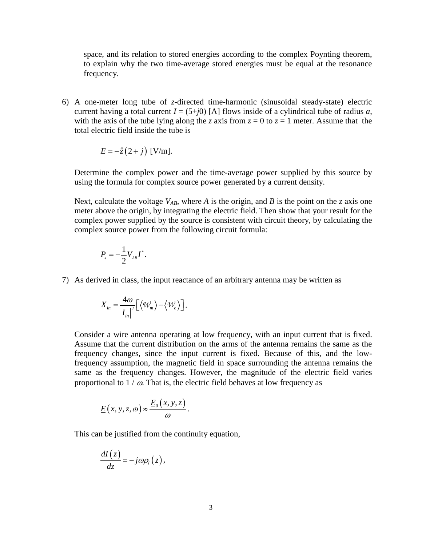space, and its relation to stored energies according to the complex Poynting theorem, to explain why the two time-average stored energies must be equal at the resonance frequency.

6) A one-meter long tube of *z*-directed time-harmonic (sinusoidal steady-state) electric current having a total current  $I = (5+j0)$  [A] flows inside of a cylindrical tube of radius *a*, with the axis of the tube lying along the *z* axis from  $z = 0$  to  $z = 1$  meter. Assume that the total electric field inside the tube is

$$
\underline{E} = -\hat{\underline{z}}(2+j) \text{ [V/m]}.
$$

Determine the complex power and the time-average power supplied by this source by using the formula for complex source power generated by a current density.

Next, calculate the voltage  $V_{AB}$ , where *A* is the origin, and *B* is the point on the *z* axis one meter above the origin, by integrating the electric field. Then show that your result for the complex power supplied by the source is consistent with circuit theory, by calculating the complex source power from the following circuit formula:

$$
P_{s}=-\frac{1}{2}V_{AB}I^{*}.
$$

7) As derived in class, the input reactance of an arbitrary antenna may be written as

$$
X_{in} = \frac{4\omega}{|I_{in}|^2} \left[ \langle W_m \rangle - \langle W_e \rangle \right].
$$

Consider a wire antenna operating at low frequency, with an input current that is fixed. Assume that the current distribution on the arms of the antenna remains the same as the frequency changes, since the input current is fixed. Because of this, and the lowfrequency assumption, the magnetic field in space surrounding the antenna remains the same as the frequency changes. However, the magnitude of the electric field varies proportional to  $1 / \omega$ . That is, the electric field behaves at low frequency as

$$
\underline{E}(x, y, z, \omega) \approx \frac{\underline{E}_0(x, y, z)}{\omega}.
$$

This can be justified from the continuity equation,

$$
\frac{dI(z)}{dz}=-j\omega\rho_l(z),
$$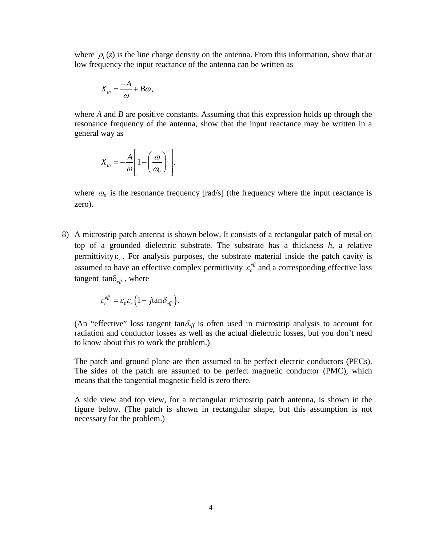where  $\rho_i(z)$  is the line charge density on the antenna. From this information, show that at low frequency the input reactance of the antenna can be written as

$$
X_{in}=\frac{-A}{\omega}+B\omega,
$$

where *A* and *B* are positive constants. Assuming that this expression holds up through the resonance frequency of the antenna, show that the input reactance may be written in a general way as

$$
X_{in} = -\frac{A}{\omega} \left[ 1 - \left( \frac{\omega}{\omega_0} \right)^2 \right].
$$

where  $\omega_0$  is the resonance frequency [rad/s] (the frequency where the input reactance is zero).

8) A microstrip patch antenna is shown below. It consists of a rectangular patch of metal on top of a grounded dielectric substrate. The substrate has a thickness *h*, a relative permittivity  $\varepsilon_r$ . For analysis purposes, the substrate material inside the patch cavity is assumed to have an effective complex permittivity  $\varepsilon_c^{ef}$  and a corresponding effective loss tangent tan $\delta_{\text{eff}}$ , where

$$
\varepsilon_c^{\text{eff}} = \varepsilon_0 \varepsilon_r \left( 1 - j \tan \delta_{\text{eff}} \right).
$$

(An "effective" loss tangent tan $\delta_{\text{eff}}$  is often used in microstrip analysis to account for radiation and conductor losses as well as the actual dielectric losses, but you don't need to know about this to work the problem.)

The patch and ground plane are then assumed to be perfect electric conductors (PECs). The sides of the patch are assumed to be perfect magnetic conductor (PMC), which means that the tangential magnetic field is zero there.

A side view and top view, for a rectangular microstrip patch antenna, is shown in the figure below. (The patch is shown in rectangular shape, but this assumption is not necessary for the problem.)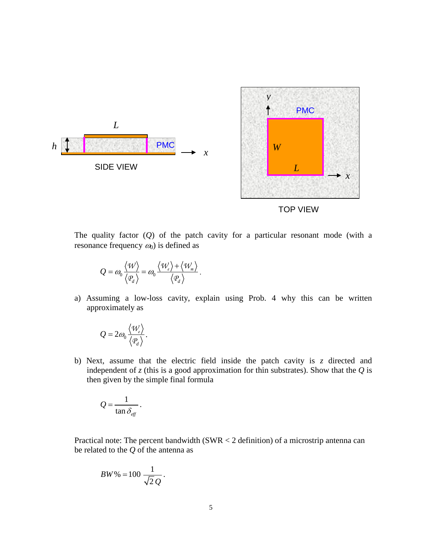



The quality factor (*Q*) of the patch cavity for a particular resonant mode (with a resonance frequency  $\omega_0$ ) is defined as

*x*

$$
Q = \omega_0 \frac{\langle \mathcal{W} \rangle}{\langle \mathcal{Q}_d \rangle} = \omega_0 \frac{\langle \mathcal{W}_e \rangle + \langle \mathcal{W}_m \rangle}{\langle \mathcal{Q}_d \rangle}.
$$

PMC

a) Assuming a low-loss cavity, explain using Prob. 4 why this can be written approximately as

$$
Q=2\omega_0\frac{\langle\mathcal{W}_e\rangle}{\langle\mathcal{P}_d\rangle}.
$$

*L*

SIDE VIEW

*h*

b) Next, assume that the electric field inside the patch cavity is *z* directed and independent of  $z$  (this is a good approximation for thin substrates). Show that the  $Q$  is then given by the simple final formula

$$
Q=\frac{1}{\tan\delta_{\text{eff}}}.
$$

Practical note: The percent bandwidth (SWR < 2 definition) of a microstrip antenna can be related to the *Q* of the antenna as

$$
BW\% = 100 \frac{1}{\sqrt{2} Q}.
$$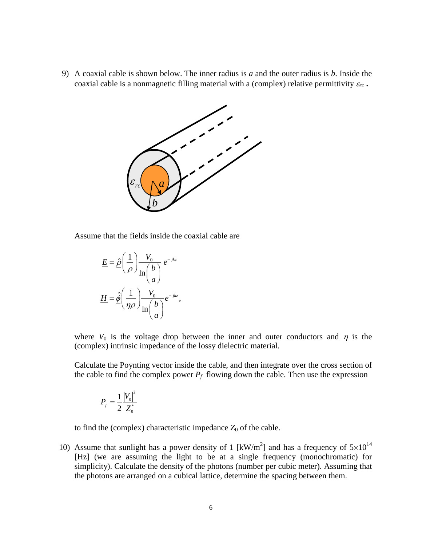9) A coaxial cable is shown below. The inner radius is *a* and the outer radius is *b*. Inside the coaxial cable is a nonmagnetic filling material with a (complex) relative permittivity  $\varepsilon_{rc}$ .



Assume that the fields inside the coaxial cable are

$$
\underline{E} = \hat{\underline{\rho}} \left( \frac{1}{\rho} \right) \frac{V_0}{\ln \left( \frac{b}{a} \right)} e^{-jkz}
$$

$$
\underline{H} = \hat{\underline{\phi}} \left( \frac{1}{\eta \rho} \right) \frac{V_0}{\ln \left( \frac{b}{a} \right)} e^{-jkz},
$$

where  $V_0$  is the voltage drop between the inner and outer conductors and  $\eta$  is the (complex) intrinsic impedance of the lossy dielectric material.

Calculate the Poynting vector inside the cable, and then integrate over the cross section of the cable to find the complex power  $P_f$  flowing down the cable. Then use the expression

$$
P_{f} = \frac{1}{2} \frac{|V_{0}|^{2}}{Z_{0}^{*}}
$$

to find the (complex) characteristic impedance  $Z_0$  of the cable.

10) Assume that sunlight has a power density of 1 [kW/m<sup>2</sup>] and has a frequency of  $5\times10^{14}$ [Hz] (we are assuming the light to be at a single frequency (monochromatic) for simplicity). Calculate the density of the photons (number per cubic meter). Assuming that the photons are arranged on a cubical lattice, determine the spacing between them.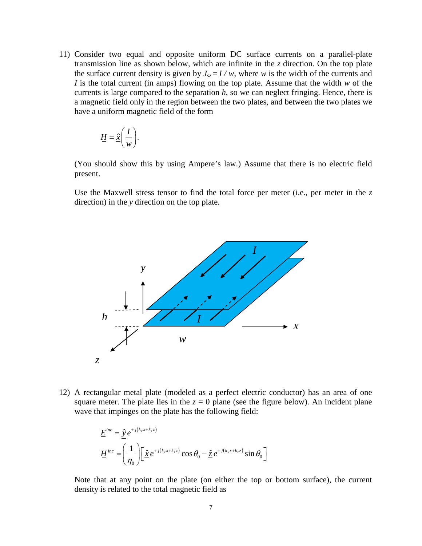11) Consider two equal and opposite uniform DC surface currents on a parallel-plate transmission line as shown below, which are infinite in the *z* direction. On the top plate the surface current density is given by  $J_{sz} = I/w$ , where *w* is the width of the currents and *I* is the total current (in amps) flowing on the top plate. Assume that the width *w* of the currents is large compared to the separation *h*, so we can neglect fringing. Hence, there is a magnetic field only in the region between the two plates, and between the two plates we have a uniform magnetic field of the form

$$
\underline{H} = \hat{\underline{x}} \bigg( \frac{I}{w} \bigg).
$$

(You should show this by using Ampere's law.) Assume that there is no electric field present.

Use the Maxwell stress tensor to find the total force per meter (i.e., per meter in the *z* direction) in the *y* direction on the top plate.



12) A rectangular metal plate (modeled as a perfect electric conductor) has an area of one square meter. The plate lies in the  $z = 0$  plane (see the figure below). An incident plane wave that impinges on the plate has the following field:

$$
\underline{E}^{inc} = \hat{\underline{y}} e^{+j(k_x x + k_z z)}
$$
\n
$$
\underline{H}^{inc} = \left(\frac{1}{\eta_0}\right) \left[\hat{\underline{x}} e^{+j(k_x x + k_z z)} \cos \theta_0 - \hat{\underline{z}} e^{+j(k_x x + k_z z)} \sin \theta_0\right]
$$

Note that at any point on the plate (on either the top or bottom surface), the current density is related to the total magnetic field as